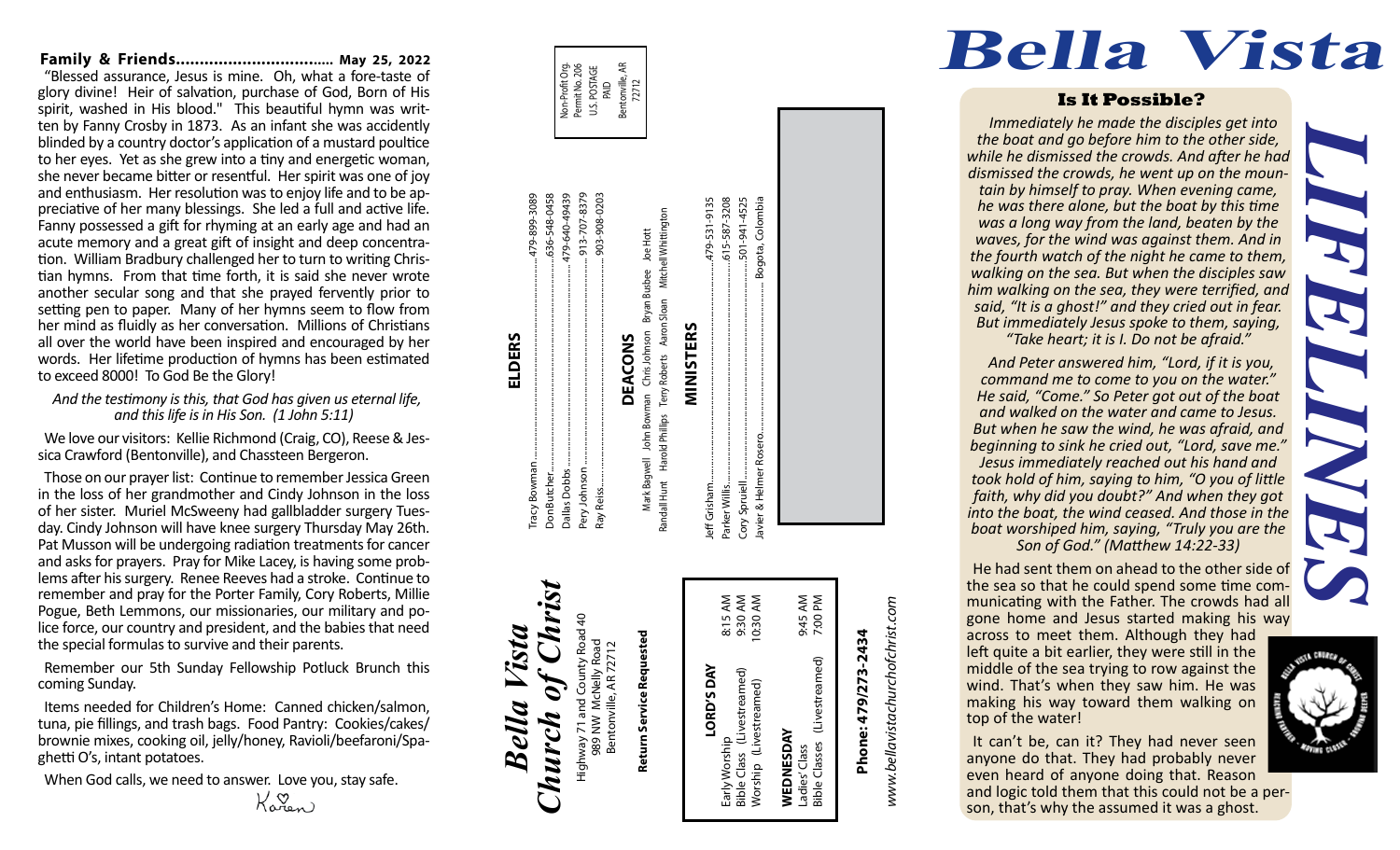## **Family & Friends.................................. May 25, 2022**

"Blessed assurance, Jesus is mine. Oh, what a fore-taste of glory divine! Heir of salvation, purchase of God, Born of His spirit, washed in His blood." This beautiful hymn was writ ten by Fanny Crosby in 1873. As an infant she was accidently blinded by a country doctor's application of a mustard poultice to her eyes. Yet as she grew into a tiny and energetic woman, she never became bitter or resentful. Her spirit was one of joy and enthusiasm. Her resolution was to enjoy life and to be ap preciative of her many blessings. She led a full and active life. Fanny possessed a gift for rhyming at an early age and had an acute memory and a great gift of insight and deep concentra tion. William Bradbury challenged her to turn to writing Chris tian hymns. From that time forth, it is said she never wrote another secular song and that she prayed fervently prior to setting pen to paper. Many of her hymns seem to flow from her mind as fluidly as her conversation. Millions of Christians all over the world have been inspired and encouraged by her words. Her lifetime production of hymns has been estimated to exceed 8000! To God Be the Glory!

*And the testimony is this, that God has given us eternal life, and this life is in His Son. (1 John 5:11)*

We love our visitors: Kellie Richmond (Craig, CO), Reese & Jes sica Crawford (Bentonville), and Chassteen Bergeron.

Those on our prayer list: Continue to remember Jessica Green in the loss of her grandmother and Cindy Johnson in the loss of her sister. Muriel McSweeny had gallbladder surgery Tues day. Cindy Johnson will have knee surgery Thursday May 26th. Pat Musson will be undergoing radiation treatments for cancer and asks for prayers. Pray for Mike Lacey, is having some prob lems after his surgery. Renee Reeves had a stroke. Continue to remember and pray for the Porter Family, Cory Roberts, Millie Pogue, Beth Lemmons, our missionaries, our military and po lice force, our country and president, and the babies that need the special formulas to survive and their parents.

Remember our 5th Sunday Fellowship Potluck Brunch this coming Sunday.

Items needed for Children's Home: Canned chicken/salmon, tuna, pie fillings, and trash bags. Food Pantry: Cookies/cakes/ brownie mixes, cooking oil, jelly/honey, Ravioli/beefaroni/Spa ghetti O's, intant potatoes.

When God calls, we need to answer. Love you, stay safe.

Karen

| Non-Profit Org. | U.S. POSTAGE | Bentonville, AR |
|-----------------|--------------|-----------------|
| Permit No. 206  | <b>PAID</b>  | 72712           |
|                 |              |                 |

## Tracy Bowman........................................................................................479-899-3089 Don Butcher..............................................................................................636-548-0458 913-707-8379 Pery Johnson .......................................................................................... 913-707-8379 Ray Reiss....... ............................................................................................ 903-908-0203 636-548-0458 479-640-49439 Dallas Dobbs........................................................................................ 479-640-49439 903-908-0203 Mitchell Whittington Randall Hunt Harold Phillips Terry Roberts Aaron Sloan Mitchell Whittington John Bowman Chris Johnson Bryan Busbee Joe Hott<br>Id Phillips Terry Roberts Aaron Sloan Mitchell Whittin Mark Bagwell John Bowman Chris Johnson Bryan Busbee Joe Hott MINISTERS **ELDERS** DEACONS **DEACONS** Harold Phillips Mark Bagwell Dallas Dobbs. Pery Johnson Don Butche Randall Hunt Ray Reiss.. acy

*Bella Vista*

Bella

Vista

*Church of Christ*

Church

 $of$   $C$ hı

Highway 71 and County Road 40 989 NW McNelly Road Bentonville, AR 72712

Highway 71 and C<br>989 NW Mch

way 71 and County Roac<br>989 NW McNelly Road<br>Bentonville, AR 72712

Road

**Return Service Requested**

Return Service Requested

## Jeff Grisham................................................................................................479-531-9135 Parker Willis.................................................................................................615-587-3208 Cory Spruiell...............................................................................................501-941-4525 Javier & Helmer Rosero.................................................................. Bogota, Colombia lavier & Helmer Rosero. Cory Spruiell... leff Grisham Parker Willis. 8:15 AM<br>9:30 AM<br>10:30 AM Early Worship 8:15 AM Bible Class (Livestreamed) 9:30 AM

9:45 AM<br>7:00 PM Worship (Livestreamed) 10:30 AM Ladies' Class 9:45 AM Bible Classes (Livestreamed) 7:00 PM (Livestreamed) Early Worship<br>Bible Class (Livestreamed)<br>Worship (Livestreamed) **WEDNESDAY**<br>Ladies' Class<br>Bible Classes (Li **WEDNESDAY**

**LORD'S DAY**

LORD'S DAY

**MINISTERS**

615-587-3208 501-941-4525 Bogota, Colombia

479-531-9135

## www.bellavistachurchofchrist.com *www.bellavistachurchofchrist.com*

# Phone: 479/273-2434

**Phone: 479/273-2434**

## *LIFELINES* **Is It Possible?**  *Immediately he made the disciples get into the boat and go before him to the other side, while he dismissed the crowds. And after he had dismissed the crowds, he went up on the moun - tain by himself to pray. When evening came, he was there alone, but the boat by this time was a long way from the land, beaten by the*

**Bella Vista**

*waves, for the wind was against them. And in the fourth watch of the night he came to them, walking on the sea. But when the disciples saw him walking on the sea, they were terrified, and said, "It is a ghost!" and they cried out in fear. But immediately Jesus spoke to them, saying,* 

*"Take heart; it is I. Do not be afraid."*

*And Peter answered him, "Lord, if it is you, command me to come to you on the water." He said, "Come." So Peter got out of the boat and walked on the water and came to Jesus. But when he saw the wind, he was afraid, and beginning to sink he cried out, "Lord, save me." Jesus immediately reached out his hand and took hold of him, saying to him, "O you of little faith, why did you doubt?" And when they got into the boat, the wind ceased. And those in the boat worshiped him, saying, "Truly you are the Son of God." (Matthew 14:22-33)*

He had sent them on ahead to the other side of the sea so that he could spend some time com municating with the Father. The crowds had all gone home and Jesus started making his way across to meet them. Although they had

left quite a bit earlier, they were still in the middle of the sea trying to row against the wind. That's when they saw him. He was making his way toward them walking on top of the water!

It can't be, can it? They had never seen anyone do that. They had probably never even heard of anyone doing that. Reason and logic told them that this could not be a per - son, that's why the assumed it was a ghost.